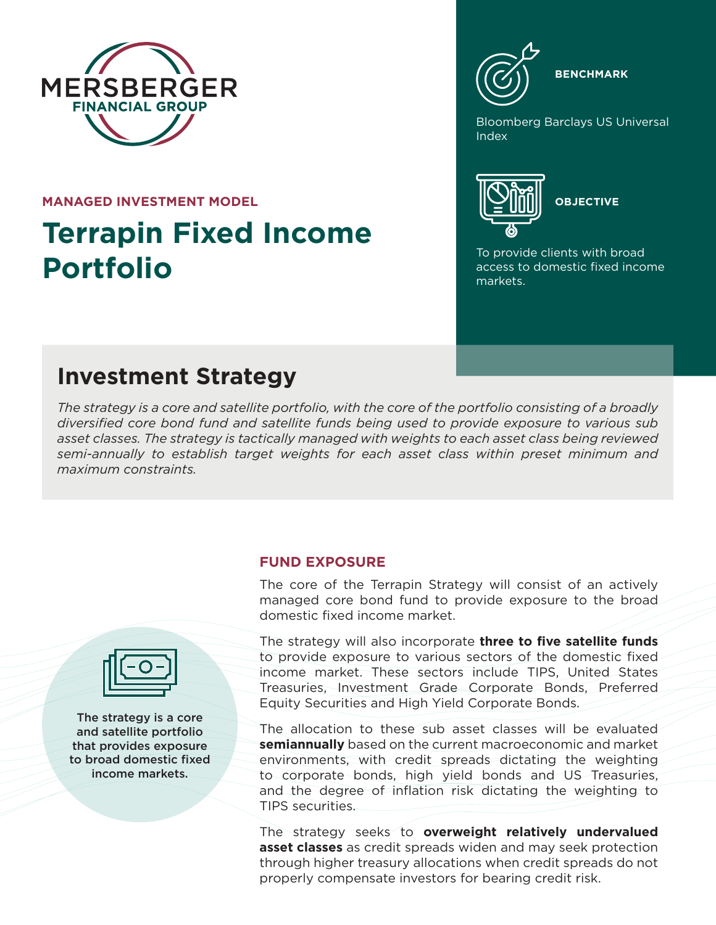

**MANAGED INVESTMENT MODEL**

# **Terrapin Fixed Income Portfolio**



Bloomberg Barclays US Universal Index



To provide clients with broad access to domestic fixed income markets.

# **Investment Strategy**

*The strategy is a core and satellite portfolio, with the core of the portfolio consisting of a broadly diversified core bond fund and satellite funds being used to provide exposure to various sub asset classes. The strategy is tactically managed with weights to each asset class being reviewed semi-annually to establish target weights for each asset class within preset minimum and maximum constraints.*

# **FUND EXPOSURE**

The core of the Terrapin Strategy will consist of an actively managed core bond fund to provide exposure to the broad domestic fixed income market.

The strategy will also incorporate **three to five satellite funds**  to provide exposure to various sectors of the domestic fixed income market. These sectors include TIPS, United States Treasuries, Investment Grade Corporate Bonds, Preferred Equity Securities and High Yield Corporate Bonds.

The allocation to these sub asset classes will be evaluated **semiannually** based on the current macroeconomic and market environments, with credit spreads dictating the weighting to corporate bonds, high yield bonds and US Treasuries, and the degree of inflation risk dictating the weighting to TIPS securities.

The strategy seeks to **overweight relatively undervalued asset classes** as credit spreads widen and may seek protection through higher treasury allocations when credit spreads do not properly compensate investors for bearing credit risk.



The strategy is a core and satellite portfolio that provides exposure to broad domestic fixed income markets.